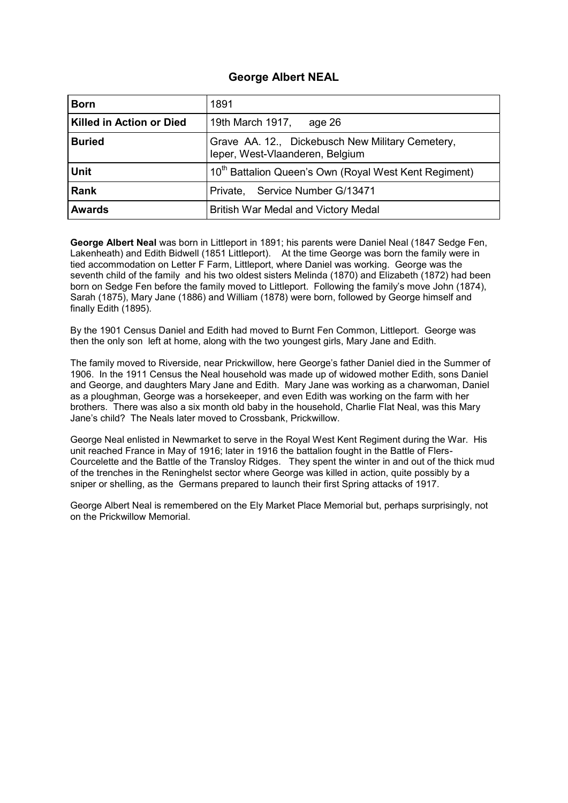## **George Albert NEAL**

| <b>Born</b>                     | 1891                                                                                |
|---------------------------------|-------------------------------------------------------------------------------------|
| <b>Killed in Action or Died</b> | 19th March 1917,<br>age 26                                                          |
| <b>Buried</b>                   | Grave AA. 12., Dickebusch New Military Cemetery,<br>leper, West-Vlaanderen, Belgium |
| <b>Unit</b>                     | 10 <sup>th</sup> Battalion Queen's Own (Royal West Kent Regiment)                   |
| <b>Rank</b>                     | Service Number G/13471<br>Private,                                                  |
| <b>Awards</b>                   | British War Medal and Victory Medal                                                 |

**George Albert Neal** was born in Littleport in 1891; his parents were Daniel Neal (1847 Sedge Fen, Lakenheath) and Edith Bidwell (1851 Littleport). At the time George was born the family were in tied accommodation on Letter F Farm, Littleport, where Daniel was working. George was the seventh child of the family and his two oldest sisters Melinda (1870) and Elizabeth (1872) had been born on Sedge Fen before the family moved to Littleport. Following the family's move John (1874), Sarah (1875), Mary Jane (1886) and William (1878) were born, followed by George himself and finally Edith (1895).

By the 1901 Census Daniel and Edith had moved to Burnt Fen Common, Littleport. George was then the only son left at home, along with the two youngest girls, Mary Jane and Edith.

The family moved to Riverside, near Prickwillow, here George's father Daniel died in the Summer of 1906. In the 1911 Census the Neal household was made up of widowed mother Edith, sons Daniel and George, and daughters Mary Jane and Edith. Mary Jane was working as a charwoman, Daniel as a ploughman, George was a horsekeeper, and even Edith was working on the farm with her brothers. There was also a six month old baby in the household, Charlie Flat Neal, was this Mary Jane's child? The Neals later moved to Crossbank, Prickwillow.

George Neal enlisted in Newmarket to serve in the Royal West Kent Regiment during the War. His unit reached France in May of 1916; later in 1916 the battalion fought in the Battle of Flers-Courcelette and the Battle of the Transloy Ridges. They spent the winter in and out of the thick mud of the trenches in the Reninghelst sector where George was killed in action, quite possibly by a sniper or shelling, as the Germans prepared to launch their first Spring attacks of 1917.

George Albert Neal is remembered on the Ely Market Place Memorial but, perhaps surprisingly, not on the Prickwillow Memorial.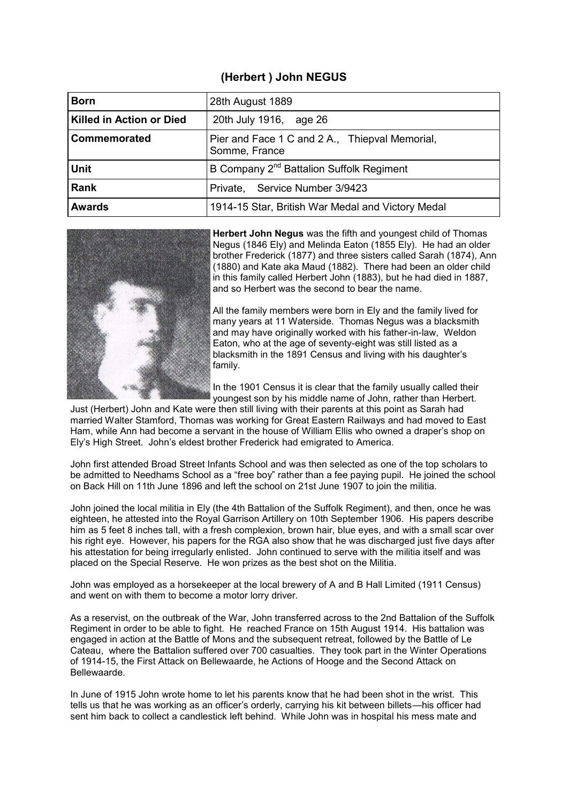## **(Herbert ) John NEGUS**

| <b>Born</b>              | 28th August 1889                                                |
|--------------------------|-----------------------------------------------------------------|
| Killed in Action or Died | 20th July 1916, age 26                                          |
| Commemorated             | Pier and Face 1 C and 2 A., Thiepval Memorial,<br>Somme, France |
| <b>Unit</b>              | B Company 2 <sup>nd</sup> Battalion Suffolk Regiment            |
| <b>Rank</b>              | Service Number 3/9423<br>Private,                               |
| <b>Awards</b>            | 1914-15 Star, British War Medal and Victory Medal               |



**Herbert John Negus** was the fifth and youngest child of Thomas Negus (1846 Ely) and Melinda Eaton (1855 Ely). He had an older brother Frederick (1877) and three sisters called Sarah (1874), Ann (1880) and Kate aka Maud (1882). There had been an older child in this family called Herbert John (1883), but he had died in 1887, and so Herbert was the second to bear the name.

All the family members were born in Ely and the family lived for many years at 11 Waterside. Thomas Negus was a blacksmith and may have originally worked with his father-in-law, Weldon Eaton, who at the age of seventy-eight was still listed as a blacksmith in the 1891 Census and living with his daughter's family.

In the 1901 Census it is clear that the family usually called their youngest son by his middle name of John, rather than Herbert.

Just (Herbert) John and Kate were then still living with their parents at this point as Sarah had married Walter Stamford, Thomas was working for Great Eastern Railways and had moved to East Ham, while Ann had become a servant in the house of William Ellis who owned a draper's shop on Ely's High Street. John's eldest brother Frederick had emigrated to America.

John first attended Broad Street Infants School and was then selected as one of the top scholars to be admitted to Needhams School as a "free boy" rather than a fee paying pupil. He joined the school on Back Hill on 11th June 1896 and left the school on 21st June 1907 to join the militia.

John joined the local militia in Ely (the 4th Battalion of the Suffolk Regiment), and then, once he was eighteen, he attested into the Royal Garrison Artillery on 10th September 1906. His papers describe him as 5 feet 8 inches tall, with a fresh complexion, brown hair, blue eyes, and with a small scar over his right eye. However, his papers for the RGA also show that he was discharged just five days after his attestation for being irregularly enlisted. John continued to serve with the militia itself and was placed on the Special Reserve. He won prizes as the best shot on the Militia.

John was employed as a horsekeeper at the local brewery of A and B Hall Limited (1911 Census) and went on with them to become a motor lorry driver.

As a reservist, on the outbreak of the War, John transferred across to the 2nd Battalion of the Suffolk Regiment in order to be able to fight. He reached France on 15th August 1914. His battalion was engaged in action at the Battle of Mons and the subsequent retreat, followed by the Battle of Le Cateau, where the Battalion suffered over 700 casualties. They took part in the Winter Operations of 1914-15, the First Attack on Bellewaarde, he Actions of Hooge and the Second Attack on Bellewaarde.

In June of 1915 John wrote home to let his parents know that he had been shot in the wrist. This tells us that he was working as an officer's orderly, carrying his kit between billets—his officer had sent him back to collect a candlestick left behind. While John was in hospital his mess mate and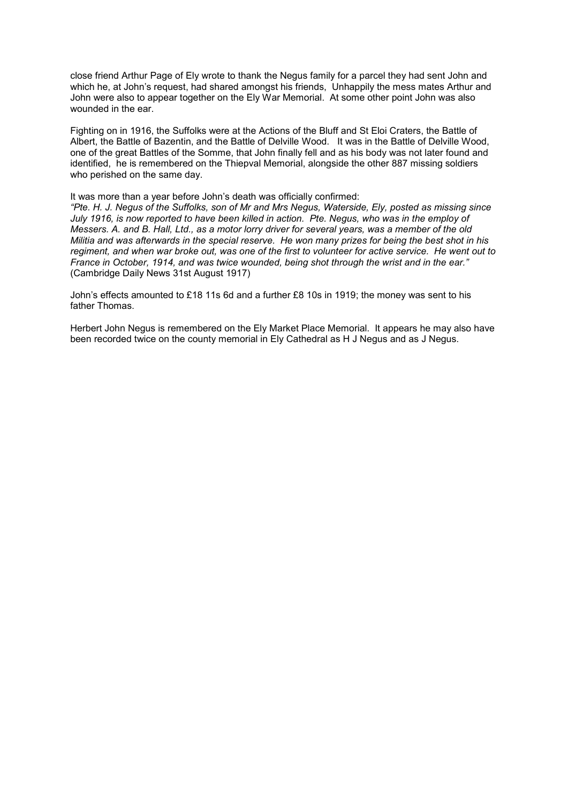close friend Arthur Page of Ely wrote to thank the Negus family for a parcel they had sent John and which he, at John's request, had shared amongst his friends, Unhappily the mess mates Arthur and John were also to appear together on the Ely War Memorial. At some other point John was also wounded in the ear.

Fighting on in 1916, the Suffolks were at the Actions of the Bluff and St Eloi Craters, the Battle of Albert, the Battle of Bazentin, and the Battle of Delville Wood. It was in the Battle of Delville Wood, one of the great Battles of the Somme, that John finally fell and as his body was not later found and identified, he is remembered on the Thiepval Memorial, alongside the other 887 missing soldiers who perished on the same day.

It was more than a year before John's death was officially confirmed:

*"Pte. H. J. Negus of the Suffolks, son of Mr and Mrs Negus, Waterside, Ely, posted as missing since July 1916, is now reported to have been killed in action. Pte. Negus, who was in the employ of Messers. A. and B. Hall, Ltd., as a motor lorry driver for several years, was a member of the old Militia and was afterwards in the special reserve. He won many prizes for being the best shot in his regiment, and when war broke out, was one of the first to volunteer for active service. He went out to France in October, 1914, and was twice wounded, being shot through the wrist and in the ear."* (Cambridge Daily News 31st August 1917)

John's effects amounted to £18 11s 6d and a further £8 10s in 1919; the money was sent to his father Thomas.

Herbert John Negus is remembered on the Ely Market Place Memorial. It appears he may also have been recorded twice on the county memorial in Ely Cathedral as H J Negus and as J Negus.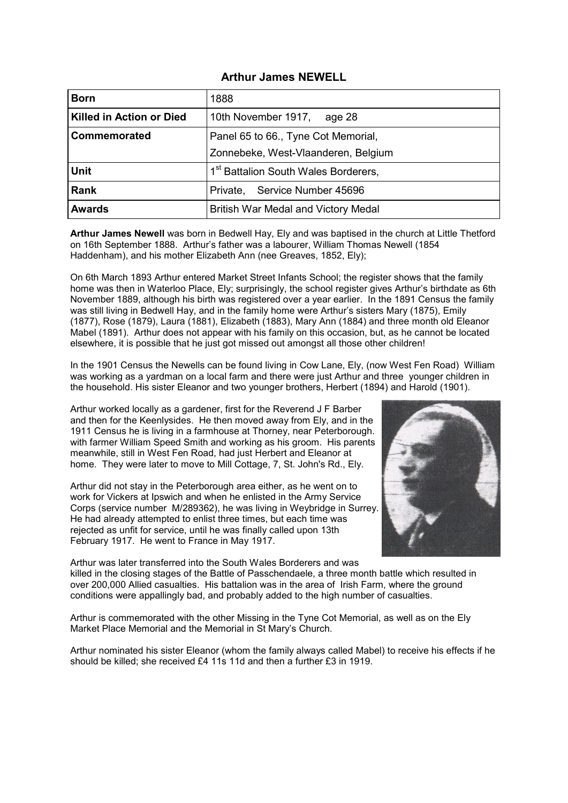### **Arthur James NEWELL**

| <b>Born</b>              | 1888                                             |
|--------------------------|--------------------------------------------------|
| Killed in Action or Died | 10th November 1917,<br>age 28                    |
| Commemorated             | Panel 65 to 66., Tyne Cot Memorial,              |
|                          | Zonnebeke, West-Vlaanderen, Belgium              |
| <b>Unit</b>              | 1 <sup>st</sup> Battalion South Wales Borderers, |
| <b>Rank</b>              | Service Number 45696<br>Private,                 |
| <b>Awards</b>            | <b>British War Medal and Victory Medal</b>       |

**Arthur James Newell** was born in Bedwell Hay, Ely and was baptised in the church at Little Thetford on 16th September 1888. Arthur's father was a labourer, William Thomas Newell (1854 Haddenham), and his mother Elizabeth Ann (nee Greaves, 1852, Ely);

On 6th March 1893 Arthur entered Market Street Infants School; the register shows that the family home was then in Waterloo Place, Ely; surprisingly, the school register gives Arthur's birthdate as 6th November 1889, although his birth was registered over a year earlier. In the 1891 Census the family was still living in Bedwell Hay, and in the family home were Arthur's sisters Mary (1875), Emily (1877), Rose (1879), Laura (1881), Elizabeth (1883), Mary Ann (1884) and three month old Eleanor Mabel (1891). Arthur does not appear with his family on this occasion, but, as he cannot be located elsewhere, it is possible that he just got missed out amongst all those other children!

In the 1901 Census the Newells can be found living in Cow Lane, Ely, (now West Fen Road) William was working as a yardman on a local farm and there were just Arthur and three younger children in the household. His sister Eleanor and two younger brothers, Herbert (1894) and Harold (1901).

Arthur worked locally as a gardener, first for the Reverend J F Barber and then for the Keenlysides. He then moved away from Ely, and in the 1911 Census he is living in a farmhouse at Thorney, near Peterborough. with farmer William Speed Smith and working as his groom. His parents meanwhile, still in West Fen Road, had just Herbert and Eleanor at home. They were later to move to Mill Cottage, 7, St. John's Rd., Ely.

Arthur did not stay in the Peterborough area either, as he went on to work for Vickers at Ipswich and when he enlisted in the Army Service Corps (service number M/289362), he was living in Weybridge in Surrey. He had already attempted to enlist three times, but each time was rejected as unfit for service, until he was finally called upon 13th February 1917. He went to France in May 1917.



Arthur was later transferred into the South Wales Borderers and was killed in the closing stages of the Battle of Passchendaele, a three month battle which resulted in over 200,000 Allied casualties. His battalion was in the area of Irish Farm, where the ground conditions were appallingly bad, and probably added to the high number of casualties.

Arthur is commemorated with the other Missing in the Tyne Cot Memorial, as well as on the Ely Market Place Memorial and the Memorial in St Mary's Church.

Arthur nominated his sister Eleanor (whom the family always called Mabel) to receive his effects if he should be killed; she received £4 11s 11d and then a further £3 in 1919.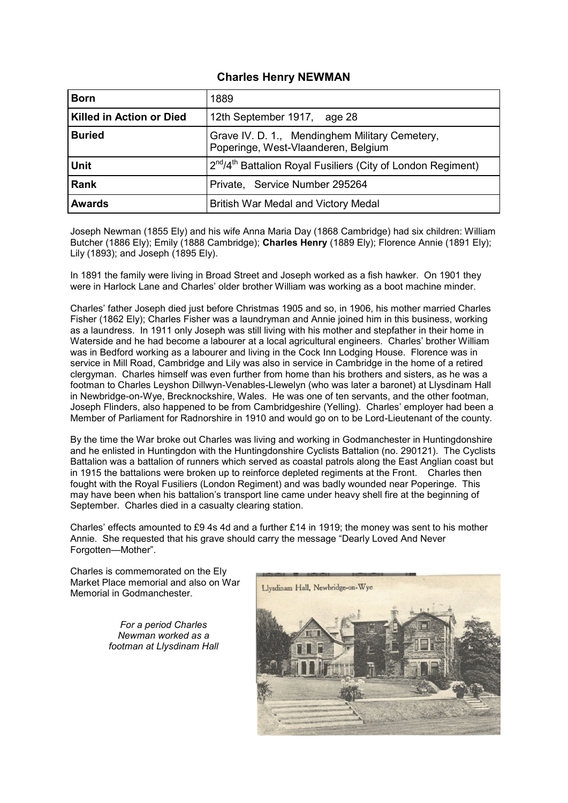## **Charles Henry NEWMAN**

| <b>Born</b>              | 1889                                                                                  |
|--------------------------|---------------------------------------------------------------------------------------|
| Killed in Action or Died | 12th September 1917, age 28                                                           |
| <b>Buried</b>            | Grave IV. D. 1., Mendinghem Military Cemetery,<br>Poperinge, West-Vlaanderen, Belgium |
| <b>Unit</b>              | 2 <sup>nd</sup> /4 <sup>th</sup> Battalion Royal Fusiliers (City of London Regiment)  |
| Rank                     | Private, Service Number 295264                                                        |
| <b>Awards</b>            | <b>British War Medal and Victory Medal</b>                                            |

Joseph Newman (1855 Ely) and his wife Anna Maria Day (1868 Cambridge) had six children: William Butcher (1886 Ely); Emily (1888 Cambridge); **Charles Henry** (1889 Ely); Florence Annie (1891 Ely); Lily (1893); and Joseph (1895 Ely).

In 1891 the family were living in Broad Street and Joseph worked as a fish hawker. On 1901 they were in Harlock Lane and Charles' older brother William was working as a boot machine minder.

Charles' father Joseph died just before Christmas 1905 and so, in 1906, his mother married Charles Fisher (1862 Ely); Charles Fisher was a laundryman and Annie joined him in this business, working as a laundress. In 1911 only Joseph was still living with his mother and stepfather in their home in Waterside and he had become a labourer at a local agricultural engineers. Charles' brother William was in Bedford working as a labourer and living in the Cock Inn Lodging House. Florence was in service in Mill Road, Cambridge and Lily was also in service in Cambridge in the home of a retired clergyman. Charles himself was even further from home than his brothers and sisters, as he was a footman to Charles Leyshon Dillwyn-Venables-Llewelyn (who was later a baronet) at Llysdinam Hall in Newbridge-on-Wye, Brecknockshire, Wales. He was one of ten servants, and the other footman, Joseph Flinders, also happened to be from Cambridgeshire (Yelling). Charles' employer had been a Member of Parliament for Radnorshire in 1910 and would go on to be Lord-Lieutenant of the county.

By the time the War broke out Charles was living and working in Godmanchester in Huntingdonshire and he enlisted in Huntingdon with the Huntingdonshire Cyclists Battalion (no. 290121). The Cyclists Battalion was a battalion of runners which served as coastal patrols along the East Anglian coast but in 1915 the battalions were broken up to reinforce depleted regiments at the Front. Charles then fought with the Royal Fusiliers (London Regiment) and was badly wounded near Poperinge. This may have been when his battalion's transport line came under heavy shell fire at the beginning of September. Charles died in a casualty clearing station.

Charles' effects amounted to £9 4s 4d and a further £14 in 1919; the money was sent to his mother Annie. She requested that his grave should carry the message "Dearly Loved And Never Forgotten—Mother".



Charles is commemorated on the Ely Market Place memorial and also on War Memorial in Godmanchester.

> *For a period Charles Newman worked as a footman at Llysdinam Hall*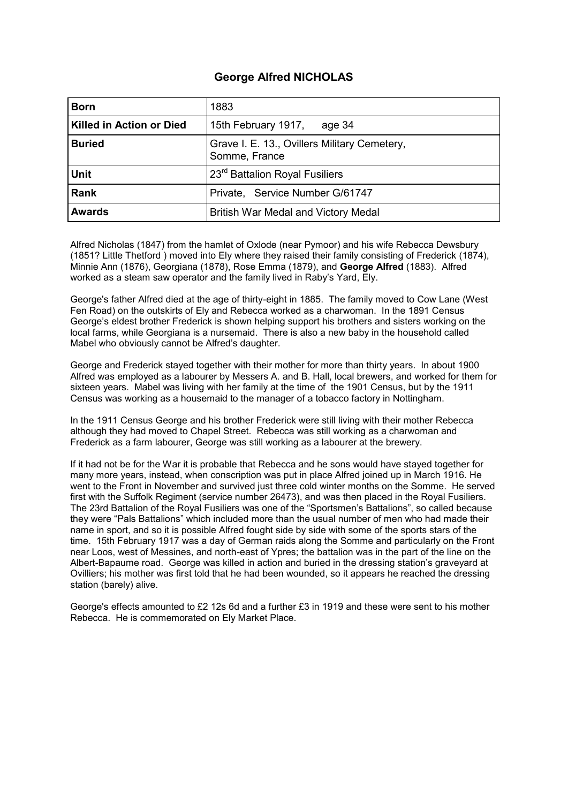# **George Alfred NICHOLAS**

| <b>Born</b>                     | 1883                                                          |
|---------------------------------|---------------------------------------------------------------|
| <b>Killed in Action or Died</b> | 15th February 1917,<br>age 34                                 |
| <b>Buried</b>                   | Grave I. E. 13., Ovillers Military Cemetery,<br>Somme, France |
| <b>Unit</b>                     | 23 <sup>rd</sup> Battalion Royal Fusiliers                    |
| <b>Rank</b>                     | Private, Service Number G/61747                               |
| <b>Awards</b>                   | British War Medal and Victory Medal                           |

Alfred Nicholas (1847) from the hamlet of Oxlode (near Pymoor) and his wife Rebecca Dewsbury (1851? Little Thetford ) moved into Ely where they raised their family consisting of Frederick (1874), Minnie Ann (1876), Georgiana (1878), Rose Emma (1879), and **George Alfred** (1883). Alfred worked as a steam saw operator and the family lived in Raby's Yard, Ely.

George's father Alfred died at the age of thirty-eight in 1885. The family moved to Cow Lane (West Fen Road) on the outskirts of Ely and Rebecca worked as a charwoman. In the 1891 Census George's eldest brother Frederick is shown helping support his brothers and sisters working on the local farms, while Georgiana is a nursemaid. There is also a new baby in the household called Mabel who obviously cannot be Alfred's daughter.

George and Frederick stayed together with their mother for more than thirty years. In about 1900 Alfred was employed as a labourer by Messers A. and B. Hall, local brewers, and worked for them for sixteen years. Mabel was living with her family at the time of the 1901 Census, but by the 1911 Census was working as a housemaid to the manager of a tobacco factory in Nottingham.

In the 1911 Census George and his brother Frederick were still living with their mother Rebecca although they had moved to Chapel Street. Rebecca was still working as a charwoman and Frederick as a farm labourer, George was still working as a labourer at the brewery.

If it had not be for the War it is probable that Rebecca and he sons would have stayed together for many more years, instead, when conscription was put in place Alfred joined up in March 1916. He went to the Front in November and survived just three cold winter months on the Somme. He served first with the Suffolk Regiment (service number 26473), and was then placed in the Royal Fusiliers. The 23rd Battalion of the Royal Fusiliers was one of the "Sportsmen's Battalions", so called because they were "Pals Battalions" which included more than the usual number of men who had made their name in sport, and so it is possible Alfred fought side by side with some of the sports stars of the time. 15th February 1917 was a day of German raids along the Somme and particularly on the Front near Loos, west of Messines, and north-east of Ypres; the battalion was in the part of the line on the Albert-Bapaume road. George was killed in action and buried in the dressing station's graveyard at Ovilliers; his mother was first told that he had been wounded, so it appears he reached the dressing station (barely) alive.

George's effects amounted to £2 12s 6d and a further £3 in 1919 and these were sent to his mother Rebecca. He is commemorated on Ely Market Place.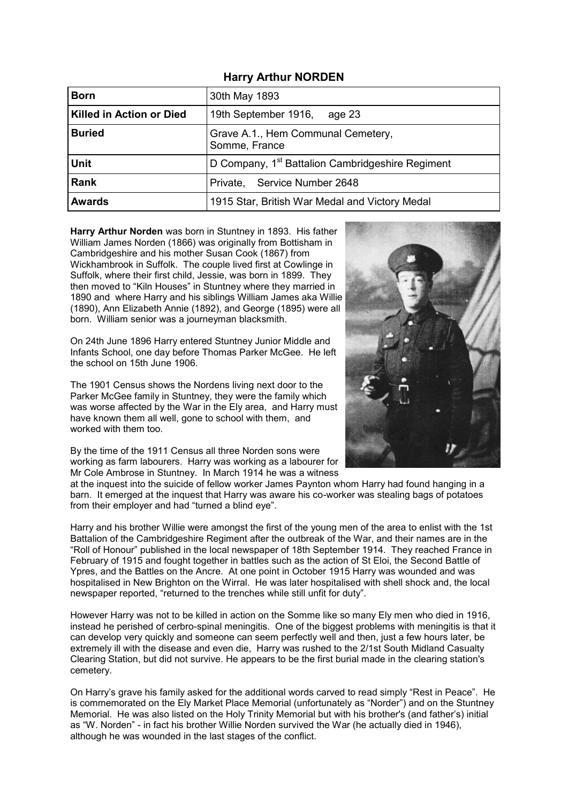|  |  | <b>Harry Arthur NORDEN</b> |
|--|--|----------------------------|
|--|--|----------------------------|

| <b>Born</b>                     | 30th May 1893                                                |
|---------------------------------|--------------------------------------------------------------|
| <b>Killed in Action or Died</b> | 19th September 1916,<br>age 23                               |
| <b>Buried</b>                   | Grave A.1., Hem Communal Cemetery,<br>Somme, France          |
| <b>Unit</b>                     | D Company, 1 <sup>st</sup> Battalion Cambridgeshire Regiment |
| <b>Rank</b>                     | Private, Service Number 2648                                 |
| <b>Awards</b>                   | 1915 Star, British War Medal and Victory Medal               |

**Harry Arthur Norden** was born in Stuntney in 1893. His father William James Norden (1866) was originally from Bottisham in Cambridgeshire and his mother Susan Cook (1867) from Wickhambrook in Suffolk. The couple lived first at Cowlinge in Suffolk, where their first child, Jessie, was born in 1899. They then moved to "Kiln Houses" in Stuntney where they married in 1890 and where Harry and his siblings William James aka Willie (1890), Ann Elizabeth Annie (1892), and George (1895) were all born. William senior was a journeyman blacksmith.

On 24th June 1896 Harry entered Stuntney Junior Middle and Infants School, one day before Thomas Parker McGee. He left the school on 15th June 1906.

The 1901 Census shows the Nordens living next door to the Parker McGee family in Stuntney, they were the family which was worse affected by the War in the Ely area, and Harry must have known them all well, gone to school with them, and worked with them too.

By the time of the 1911 Census all three Norden sons were working as farm labourers. Harry was working as a labourer for Mr Cole Ambrose in Stuntney. In March 1914 he was a witness



at the inquest into the suicide of fellow worker James Paynton whom Harry had found hanging in a barn. It emerged at the inquest that Harry was aware his co-worker was stealing bags of potatoes from their employer and had "turned a blind eye".

Harry and his brother Willie were amongst the first of the young men of the area to enlist with the 1st Battalion of the Cambridgeshire Regiment after the outbreak of the War, and their names are in the "Roll of Honour" published in the local newspaper of 18th September 1914. They reached France in February of 1915 and fought together in battles such as the action of St Eloi, the Second Battle of Ypres, and the Battles on the Ancre. At one point in October 1915 Harry was wounded and was hospitalised in New Brighton on the Wirral. He was later hospitalised with shell shock and, the local newspaper reported, "returned to the trenches while still unfit for duty".

However Harry was not to be killed in action on the Somme like so many Ely men who died in 1916, instead he perished of cerbro-spinal meningitis. One of the biggest problems with meningitis is that it can develop very quickly and someone can seem perfectly well and then, just a few hours later, be extremely ill with the disease and even die, Harry was rushed to the 2/1st South Midland Casualty Clearing Station, but did not survive. He appears to be the first burial made in the clearing station's cemetery.

On Harry's grave his family asked for the additional words carved to read simply "Rest in Peace". He is commemorated on the Ely Market Place Memorial (unfortunately as "Norder") and on the Stuntney Memorial. He was also listed on the Holy Trinity Memorial but with his brother's (and father's) initial as "W. Norden" - in fact his brother Willie Norden survived the War (he actually died in 1946), although he was wounded in the last stages of the conflict.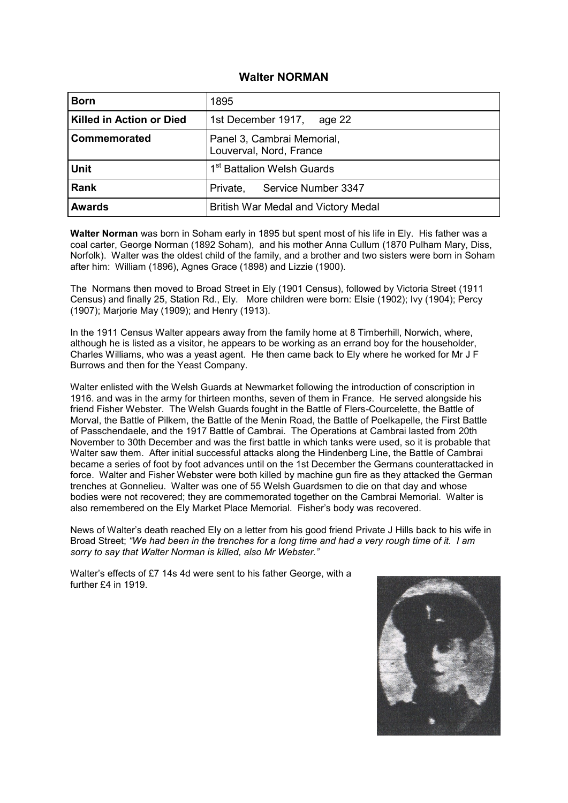#### **Walter NORMAN**

| <b>Born</b>                     | 1895                                                  |
|---------------------------------|-------------------------------------------------------|
| <b>Killed in Action or Died</b> | 1st December 1917,<br>age 22                          |
| Commemorated                    | Panel 3, Cambrai Memorial,<br>Louverval, Nord, France |
| <b>Unit</b>                     | 1 <sup>st</sup> Battalion Welsh Guards                |
| <b>Rank</b>                     | Service Number 3347<br>Private,                       |
| <b>Awards</b>                   | British War Medal and Victory Medal                   |

**Walter Norman** was born in Soham early in 1895 but spent most of his life in Ely. His father was a coal carter, George Norman (1892 Soham), and his mother Anna Cullum (1870 Pulham Mary, Diss, Norfolk). Walter was the oldest child of the family, and a brother and two sisters were born in Soham after him: William (1896), Agnes Grace (1898) and Lizzie (1900).

The Normans then moved to Broad Street in Ely (1901 Census), followed by Victoria Street (1911 Census) and finally 25, Station Rd., Ely. More children were born: Elsie (1902); Ivy (1904); Percy (1907); Marjorie May (1909); and Henry (1913).

In the 1911 Census Walter appears away from the family home at 8 Timberhill, Norwich, where, although he is listed as a visitor, he appears to be working as an errand boy for the householder, Charles Williams, who was a yeast agent. He then came back to Ely where he worked for Mr J F Burrows and then for the Yeast Company.

Walter enlisted with the Welsh Guards at Newmarket following the introduction of conscription in 1916. and was in the army for thirteen months, seven of them in France. He served alongside his friend Fisher Webster. The Welsh Guards fought in the Battle of Flers-Courcelette, the Battle of Morval, the Battle of Pilkem, the Battle of the Menin Road, the Battle of Poelkapelle, the First Battle of Passchendaele, and the 1917 Battle of Cambrai. The Operations at Cambrai lasted from 20th November to 30th December and was the first battle in which tanks were used, so it is probable that Walter saw them. After initial successful attacks along the Hindenberg Line, the Battle of Cambrai became a series of foot by foot advances until on the 1st December the Germans counterattacked in force. Walter and Fisher Webster were both killed by machine gun fire as they attacked the German trenches at Gonnelieu. Walter was one of 55 Welsh Guardsmen to die on that day and whose bodies were not recovered; they are commemorated together on the Cambrai Memorial. Walter is also remembered on the Ely Market Place Memorial. Fisher's body was recovered.

News of Walter's death reached Ely on a letter from his good friend Private J Hills back to his wife in Broad Street; *"We had been in the trenches for a long time and had a very rough time of it. I am sorry to say that Walter Norman is killed, also Mr Webster."* 

Walter's effects of £7 14s 4d were sent to his father George, with a further £4 in 1919.

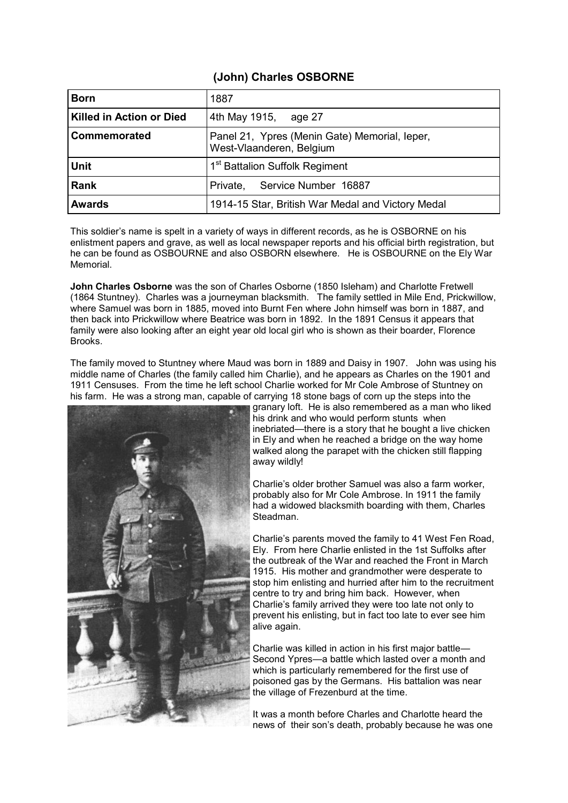# **(John) Charles OSBORNE**

| <b>Born</b>                     | 1887                                                                      |
|---------------------------------|---------------------------------------------------------------------------|
| <b>Killed in Action or Died</b> | 4th May 1915, age 27                                                      |
| Commemorated                    | Panel 21, Ypres (Menin Gate) Memorial, leper,<br>West-Vlaanderen, Belgium |
| <b>Unit</b>                     | 1 <sup>st</sup> Battalion Suffolk Regiment                                |
| <b>Rank</b>                     | Private, Service Number 16887                                             |
| <b>Awards</b>                   | 1914-15 Star, British War Medal and Victory Medal                         |

This soldier's name is spelt in a variety of ways in different records, as he is OSBORNE on his enlistment papers and grave, as well as local newspaper reports and his official birth registration, but he can be found as OSBOURNE and also OSBORN elsewhere. He is OSBOURNE on the Ely War Memorial.

**John Charles Osborne** was the son of Charles Osborne (1850 Isleham) and Charlotte Fretwell (1864 Stuntney). Charles was a journeyman blacksmith. The family settled in Mile End, Prickwillow, where Samuel was born in 1885, moved into Burnt Fen where John himself was born in 1887, and then back into Prickwillow where Beatrice was born in 1892. In the 1891 Census it appears that family were also looking after an eight year old local girl who is shown as their boarder, Florence Brooks.

The family moved to Stuntney where Maud was born in 1889 and Daisy in 1907. John was using his middle name of Charles (the family called him Charlie), and he appears as Charles on the 1901 and 1911 Censuses. From the time he left school Charlie worked for Mr Cole Ambrose of Stuntney on his farm. He was a strong man, capable of carrying 18 stone bags of corn up the steps into the



granary loft. He is also remembered as a man who liked his drink and who would perform stunts when inebriated—there is a story that he bought a live chicken in Ely and when he reached a bridge on the way home walked along the parapet with the chicken still flapping away wildly!

Charlie's older brother Samuel was also a farm worker, probably also for Mr Cole Ambrose. In 1911 the family had a widowed blacksmith boarding with them, Charles Steadman.

Charlie's parents moved the family to 41 West Fen Road, Ely. From here Charlie enlisted in the 1st Suffolks after the outbreak of the War and reached the Front in March 1915. His mother and grandmother were desperate to stop him enlisting and hurried after him to the recruitment centre to try and bring him back. However, when Charlie's family arrived they were too late not only to prevent his enlisting, but in fact too late to ever see him alive again.

Charlie was killed in action in his first major battle— Second Ypres—a battle which lasted over a month and which is particularly remembered for the first use of poisoned gas by the Germans. His battalion was near the village of Frezenburd at the time.

It was a month before Charles and Charlotte heard the news of their son's death, probably because he was one